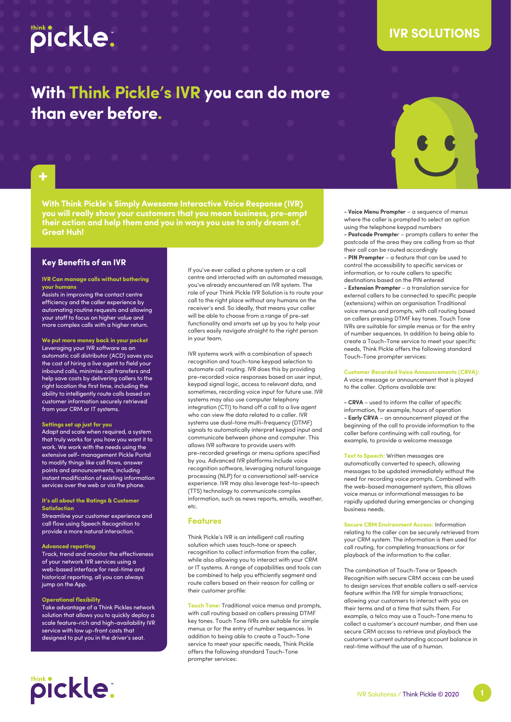# pickle:

## **IVR SOLUTIONS**

# **With Think Pickle's IVR you can do more than ever before.**





**With Think Pickle's Simply Awesome Interactive Voice Response (IVR) you will really show your customers that you mean business, pre-empt their action and help them and you in ways you use to only dream of. Great Huh!**

## **Key Benefits of an IVR**

## **IVR Can manage calls without bothering your humans**

Assists in improving the contact centre efficiency and the caller experience by automating routine requests and allowing your staff to focus on higher value and more complex calls with a higher return.

**We put more money back in your pocket** Leveraging your IVR software as an automatic call distributor (ACD) saves you the cost of hiring a live agent to field your inbound calls, minimise call transfers and help save costs by delivering callers to the right location the first time, including the ability to intelligently route calls based on customer information securely retrieved from your CRM or IT systems.

## **Settings set up just for you**

Adapt and scale when required, a system that truly works for you how you want it to work. We work with the needs using the extensive self- management Pickle Portal to modify things like call flows, answer points and announcements, including instant modification of existing information services over the web or via the phone.

### **It's all about the Ratings & Customer Satisfaction**

Streamline your customer experience and call flow using Speech Recognition to provide a more natural interaction.

## **Advanced reporting**

Track, trend and monitor the effectiveness of your network IVR services using a web-based interface for real-time and historical reporting, all you can always jump on the App.

### **Operational flexibility**

pickle:

Take advantage of a Think Pickles network solution that allows you to quickly deploy a scale feature-rich and high-availability IVR service with low up-front costs that designed to put you in the driver's seat.

If you've ever called a phone system or a call centre and interacted with an automated message, you've already encountered an IVR system. The role of your Think Pickle IVR Solution is to route your call to the right place without any humans on the receiver's end. So ideally, that means your caller will be able to choose from a range of pre-set functionality and smarts set up by you to help your callers easily navigate straight to the right person in your team.

IVR systems work with a combination of speech recognition and touch-tone keypad selection to automate call routing. IVR does this by providing pre-recorded voice responses based on user input, keypad signal logic, access to relevant data, and sometimes, recording voice input for future use. IVR systems may also use computer telephony integration (CTI) to hand off a call to a live gaent who can view the data related to a caller. IVR systems use dual-tone multi-frequency (DTMF) signals to automatically interpret keypad input and communicate between phone and computer. This allows IVR software to provide users with pre-recorded greetings or menu options specified by you. Advanced IVR platforms include voice recognition software, leveraging natural language processing (NLP) for a conversational self-service experience. IVR may also leverage text-to-speech (TTS) technology to communicate complex information, such as news reports, emails, weather, etc.

## **Features**

Think Pickle's IVR is an intelligent call routing solution which uses touch-tone or speech recognition to collect information from the caller, while also allowing you to interact with your CRM or IT systems. A range of capabilities and tools can be combined to help you efficiently segment and route callers based on their reason for calling or their customer profile:

**Touch Tone:** Traditional voice menus and prompts, with call routing based on callers pressing DTMF key tones. Touch Tone IVRs are suitable for simple menus or for the entry of number sequences. In addition to being able to create a Touch-Tone service to meet your specific needs, Think Pickle offers the following standard Touch-Tone prompter services:

**- Voice Menu Prompter** – a sequence of menus where the caller is prompted to select an option using the telephone keypad numbers

**- Postcode Prompte**r – prompts callers to enter the postcode of the area they are calling from so that their call can be routed accordingly

**- PIN Prompter** – a feature that can be used to control the accessibility to specific services or information, or to route callers to specific destinations based on the PIN entered

**- Extension Prompter** – a translation service for external callers to be connected to specific people (extensions) within an organisation Traditional voice menus and prompts, with call routing based on callers pressing DTMF key tones. Touch Tone IVRs are suitable for simple menus or for the entry of number sequences. In addition to being able to create a Touch-Tone service to meet your specific needs, Think Pickle offers the following standard Touch-Tone prompter services:

## **Customer Recorded Voice Announcements (CRVA):**

A voice message or announcement that is played to the caller. Options available are:

**- CRVA** – used to inform the caller of specific information, for example, hours of operation **- Early CRVA** – an announcement played at the beginning of the call to provide information to the caller before continuing with call routing, for example, to provide a welcome message

## **Text to Speech:** Written messages are automatically converted to speech, allowing messages to be updated immediately without the need for recording voice prompts. Combined with the web-based management system, this allows voice menus or informational messages to be rapidly updated during emergencies or changing

business needs.

**Secure CRM Environment Access:** Information relating to the caller can be securely retrieved from your CRM system. The information is then used for call routing, for completing transactions or for playback of the information to the caller.

The combination of Touch-Tone or Speech Recognition with secure CRM access can be used to design services that enable callers a self-service feature within the IVR for simple transactions; allowing your customers to interact with you on their terms and at a time that suits them. For example, a telco may use a Touch-Tone menu to collect a customer's account number, and then use secure CRM access to retrieve and playback the customer's current outstanding account balance in real-time without the use of a human.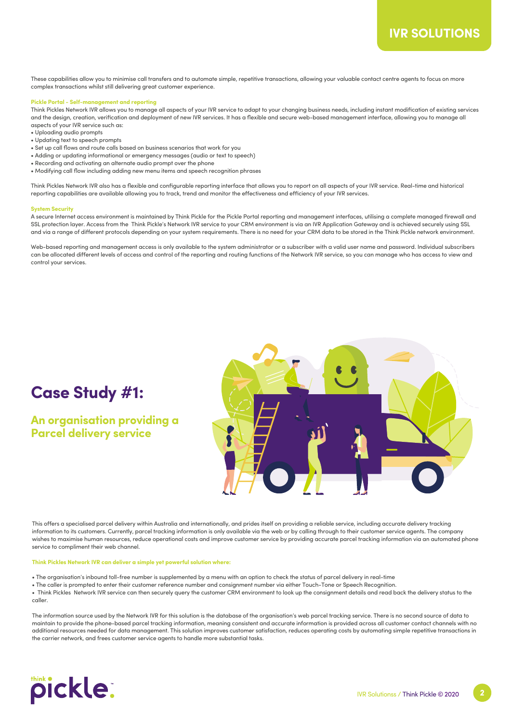These capabilities allow you to minimise call transfers and to automate simple, repetitive transactions, allowing your valuable contact centre agents to focus on more complex transactions whilst still delivering great customer experience.

#### **Pickle Portal - Self-management and reporting**

Think Pickles Network IVR allows you to manage all aspects of your IVR service to adapt to your changing business needs, including instant modification of existing services and the design, creation, verification and deployment of new IVR services. It has a flexible and secure web-based management interface, allowing you to manage all aspects of your IVR service such as:

- Uploading audio prompts
- Updating text to speech prompts
- Set up call flows and route calls based on business scenarios that work for you
- Adding or updating informational or emergency messages (audio or text to speech)
- Recording and activating an alternate audio prompt over the phone
- Modifying call flow including adding new menu items and speech recognition phrases

Think Pickles Network IVR also has a flexible and configurable reporting interface that allows you to report on all aspects of your IVR service. Real-time and historical reporting capabilities are available allowing you to track, trend and monitor the effectiveness and efficiency of your IVR services.

#### **System Security**

A secure Internet access environment is maintained by Think Pickle for the Pickle Portal reporting and management interfaces, utilising a complete managed firewall and SSL protection layer. Access from the Think Pickle's Network IVR service to your CRM environment is via an IVR Application Gateway and is achieved securely using SSL and via a range of different protocols depending on your system requirements. There is no need for your CRM data to be stored in the Think Pickle network environment.

Web-based reporting and management access is only available to the system administrator or a subscriber with a valid user name and password. Individual subscribers can be allocated different levels of access and control of the reporting and routing functions of the Network IVR service, so you can manage who has access to view and control your services.

# **Case Study #1:**

**An organisation providing a Parcel delivery service** 



This offers a specialised parcel delivery within Australia and internationally, and prides itself on providing a reliable service, including accurate delivery tracking information to its customers. Currently, parcel tracking information is only available via the web or by calling through to their customer service agents. The company wishes to maximise human resources, reduce operational costs and improve customer service by providing accurate parcel tracking information via an automated phone service to compliment their web channel.

#### **Think Pickles Network IVR can deliver a simple yet powerful solution where:**

- The organisation's inbound toll-free number is supplemented by a menu with an option to check the status of parcel delivery in real-time
- The caller is prompted to enter their customer reference number and consignment number via either Touch-Tone or Speech Recognition.
- Think Pickles Network IVR service can then securely query the customer CRM environment to look up the consignment details and read back the delivery status to the caller.

The information source used by the Network IVR for this solution is the database of the organisation's web parcel tracking service. There is no second source of data to maintain to provide the phone-based parcel tracking information, meaning consistent and accurate information is provided across all customer contact channels with no additional resources needed for data management. This solution improves customer satisfaction, reduces operating costs by automating simple repetitive transactions in the carrier network, and frees customer service agents to handle more substantial tasks.



**2**